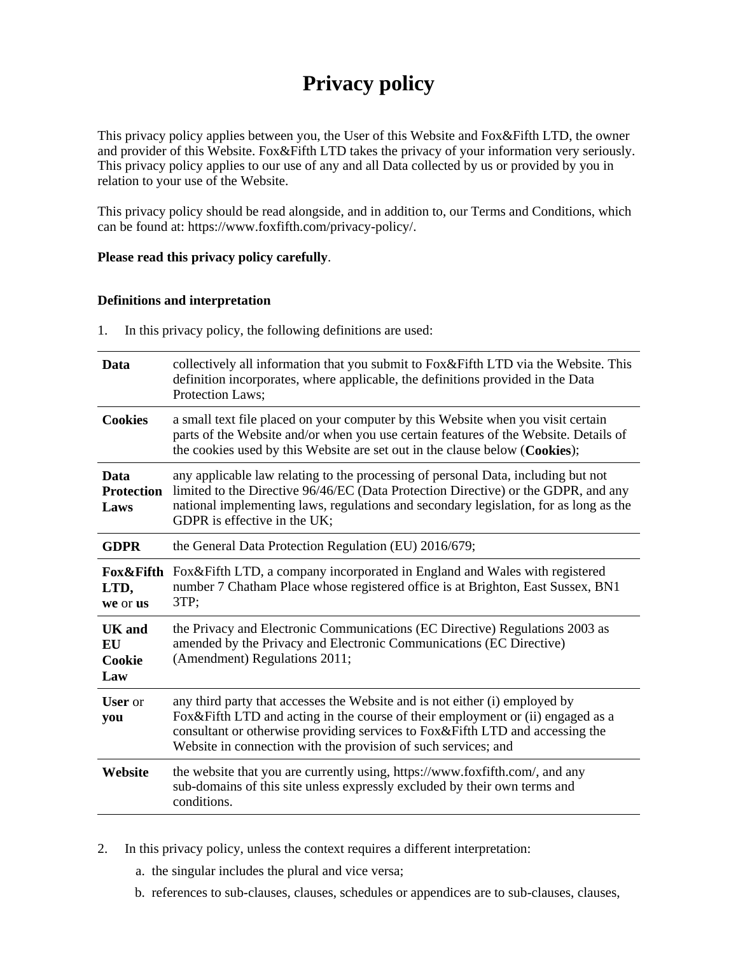# **Privacy policy**

This privacy policy applies between you, the User of this Website and Fox&Fifth LTD, the owner and provider of this Website. Fox&Fifth LTD takes the privacy of your information very seriously. This privacy policy applies to our use of any and all Data collected by us or provided by you in relation to your use of the Website.

This privacy policy should be read alongside, and in addition to, our Terms and Conditions, which can be found at: https://www.foxfifth.com/privacy-policy/.

## **Please read this privacy policy carefully**.

## **Definitions and interpretation**

1. In this privacy policy, the following definitions are used:

| Data                                        | collectively all information that you submit to Fox & Fifth LTD via the Website. This<br>definition incorporates, where applicable, the definitions provided in the Data<br>Protection Laws;                                                                                                                      |  |
|---------------------------------------------|-------------------------------------------------------------------------------------------------------------------------------------------------------------------------------------------------------------------------------------------------------------------------------------------------------------------|--|
| <b>Cookies</b>                              | a small text file placed on your computer by this Website when you visit certain<br>parts of the Website and/or when you use certain features of the Website. Details of<br>the cookies used by this Website are set out in the clause below (Cookies);                                                           |  |
| Data<br><b>Protection</b><br>Laws           | any applicable law relating to the processing of personal Data, including but not<br>limited to the Directive 96/46/EC (Data Protection Directive) or the GDPR, and any<br>national implementing laws, regulations and secondary legislation, for as long as the<br>GDPR is effective in the UK;                  |  |
| <b>GDPR</b>                                 | the General Data Protection Regulation (EU) 2016/679;                                                                                                                                                                                                                                                             |  |
| Fox&Fifth<br>LTD,<br>we or us               | Fox&Fifth LTD, a company incorporated in England and Wales with registered<br>number 7 Chatham Place whose registered office is at Brighton, East Sussex, BN1<br>3TP;                                                                                                                                             |  |
| <b>UK</b> and<br><b>EU</b><br>Cookie<br>Law | the Privacy and Electronic Communications (EC Directive) Regulations 2003 as<br>amended by the Privacy and Electronic Communications (EC Directive)<br>(Amendment) Regulations 2011;                                                                                                                              |  |
| <b>User</b> or<br>you                       | any third party that accesses the Website and is not either (i) employed by<br>Fox&Fifth LTD and acting in the course of their employment or (ii) engaged as a<br>consultant or otherwise providing services to Fox&Fifth LTD and accessing the<br>Website in connection with the provision of such services; and |  |
| Website                                     | the website that you are currently using, https://www.foxfifth.com/, and any<br>sub-domains of this site unless expressly excluded by their own terms and<br>conditions.                                                                                                                                          |  |

2. In this privacy policy, unless the context requires a different interpretation:

- a. the singular includes the plural and vice versa;
- b. references to sub-clauses, clauses, schedules or appendices are to sub-clauses, clauses,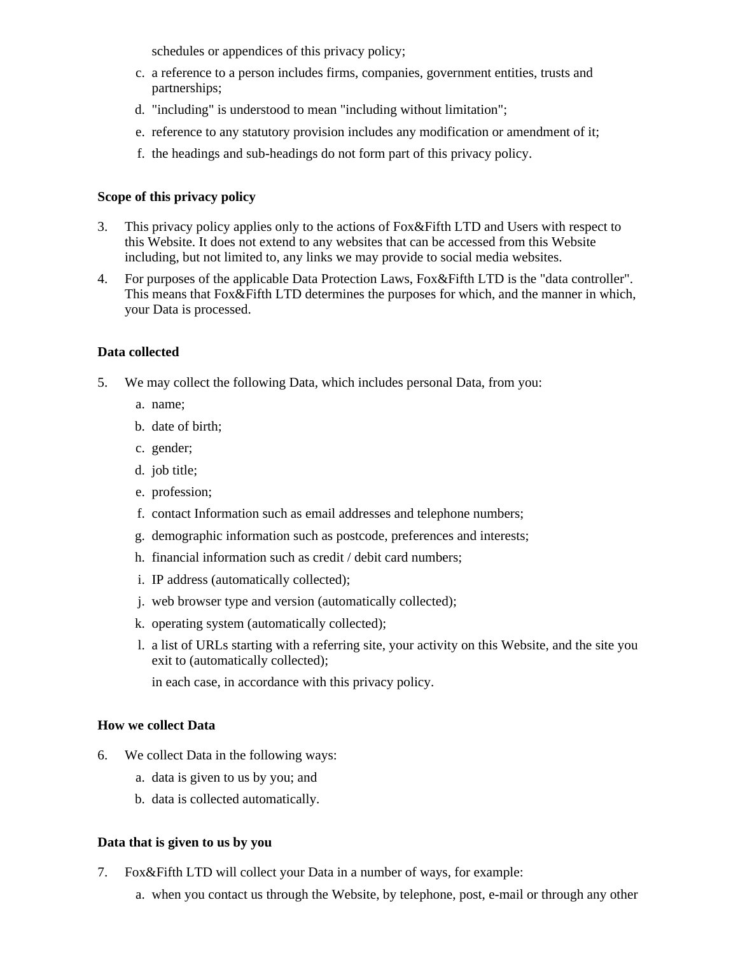schedules or appendices of this privacy policy;

- c. a reference to a person includes firms, companies, government entities, trusts and partnerships;
- d. "including" is understood to mean "including without limitation";
- e. reference to any statutory provision includes any modification or amendment of it;
- f. the headings and sub-headings do not form part of this privacy policy.

# **Scope of this privacy policy**

- 3. This privacy policy applies only to the actions of Fox&Fifth LTD and Users with respect to this Website. It does not extend to any websites that can be accessed from this Website including, but not limited to, any links we may provide to social media websites.
- 4. For purposes of the applicable Data Protection Laws, Fox&Fifth LTD is the "data controller". This means that Fox&Fifth LTD determines the purposes for which, and the manner in which, your Data is processed.

# **Data collected**

- 5. We may collect the following Data, which includes personal Data, from you:
	- a. name;
	- b. date of birth;
	- c. gender;
	- d. job title;
	- e. profession;
	- f. contact Information such as email addresses and telephone numbers;
	- g. demographic information such as postcode, preferences and interests;
	- h. financial information such as credit / debit card numbers;
	- i. IP address (automatically collected);
	- j. web browser type and version (automatically collected);
	- k. operating system (automatically collected);
	- l. a list of URLs starting with a referring site, your activity on this Website, and the site you exit to (automatically collected);

in each case, in accordance with this privacy policy.

## **How we collect Data**

- 6. We collect Data in the following ways:
	- a. data is given to us by you; and
	- b. data is collected automatically.

## **Data that is given to us by you**

- 7. Fox&Fifth LTD will collect your Data in a number of ways, for example:
	- a. when you contact us through the Website, by telephone, post, e-mail or through any other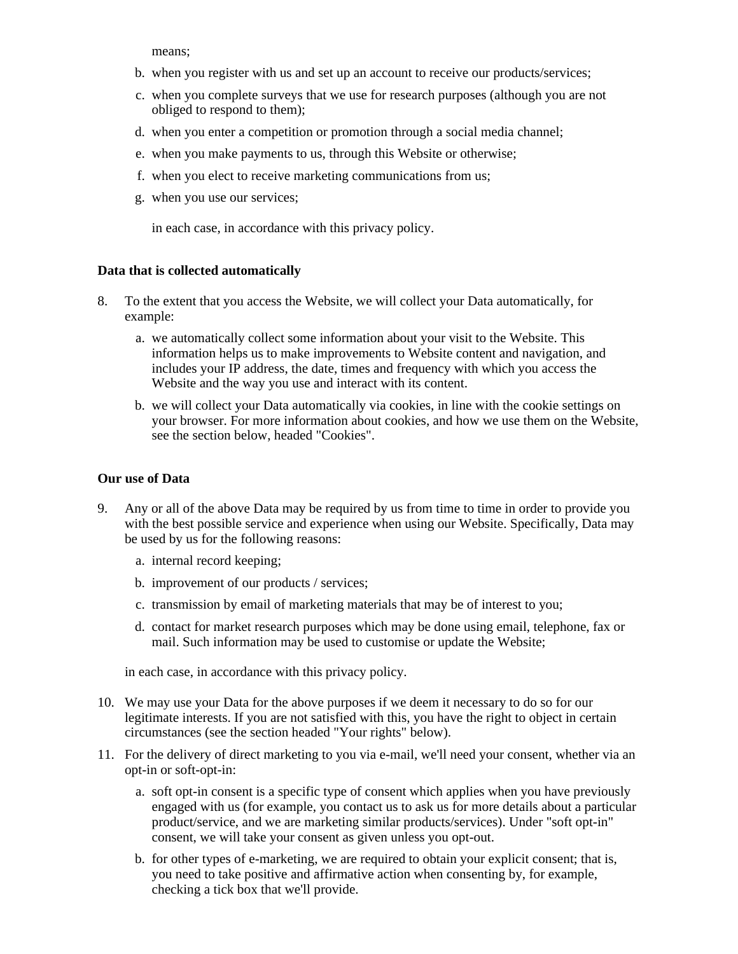means;

- b. when you register with us and set up an account to receive our products/services;
- c. when you complete surveys that we use for research purposes (although you are not obliged to respond to them);
- d. when you enter a competition or promotion through a social media channel;
- e. when you make payments to us, through this Website or otherwise;
- f. when you elect to receive marketing communications from us;
- g. when you use our services;

in each case, in accordance with this privacy policy.

## **Data that is collected automatically**

- 8. To the extent that you access the Website, we will collect your Data automatically, for example:
	- a. we automatically collect some information about your visit to the Website. This information helps us to make improvements to Website content and navigation, and includes your IP address, the date, times and frequency with which you access the Website and the way you use and interact with its content.
	- b. we will collect your Data automatically via cookies, in line with the cookie settings on your browser. For more information about cookies, and how we use them on the Website, see the section below, headed "Cookies".

#### **Our use of Data**

- 9. Any or all of the above Data may be required by us from time to time in order to provide you with the best possible service and experience when using our Website. Specifically, Data may be used by us for the following reasons:
	- a. internal record keeping;
	- b. improvement of our products / services;
	- c. transmission by email of marketing materials that may be of interest to you;
	- d. contact for market research purposes which may be done using email, telephone, fax or mail. Such information may be used to customise or update the Website;

in each case, in accordance with this privacy policy.

- 10. We may use your Data for the above purposes if we deem it necessary to do so for our legitimate interests. If you are not satisfied with this, you have the right to object in certain circumstances (see the section headed "Your rights" below).
- 11. For the delivery of direct marketing to you via e-mail, we'll need your consent, whether via an opt-in or soft-opt-in:
	- a. soft opt-in consent is a specific type of consent which applies when you have previously engaged with us (for example, you contact us to ask us for more details about a particular product/service, and we are marketing similar products/services). Under "soft opt-in" consent, we will take your consent as given unless you opt-out.
	- b. for other types of e-marketing, we are required to obtain your explicit consent; that is, you need to take positive and affirmative action when consenting by, for example, checking a tick box that we'll provide.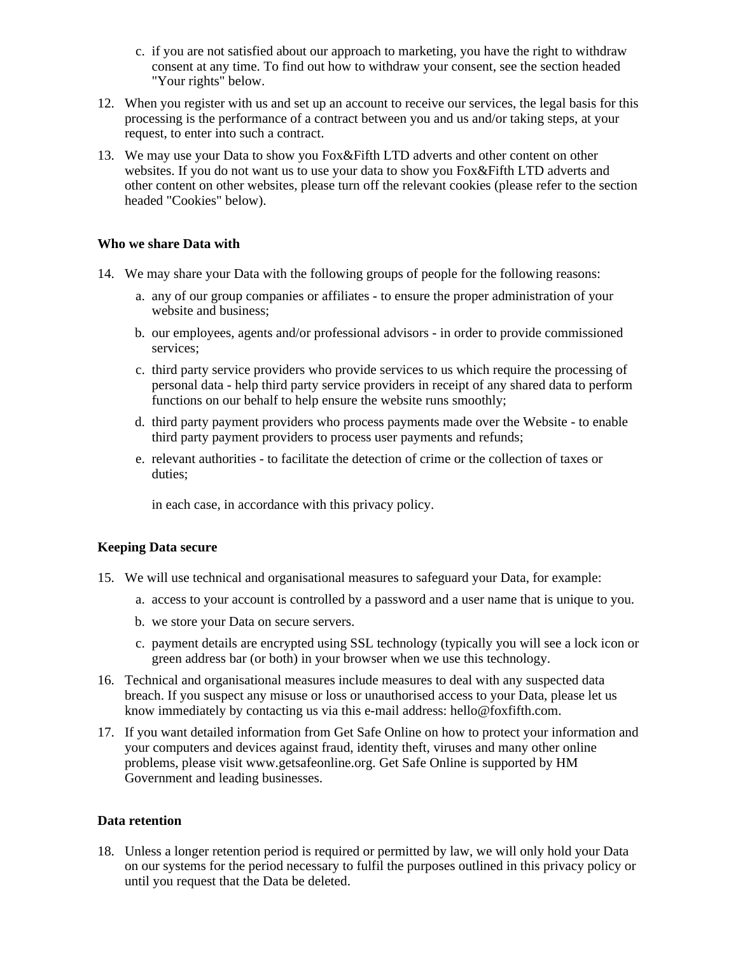- c. if you are not satisfied about our approach to marketing, you have the right to withdraw consent at any time. To find out how to withdraw your consent, see the section headed "Your rights" below.
- 12. When you register with us and set up an account to receive our services, the legal basis for this processing is the performance of a contract between you and us and/or taking steps, at your request, to enter into such a contract.
- 13. We may use your Data to show you Fox&Fifth LTD adverts and other content on other websites. If you do not want us to use your data to show you Fox&Fifth LTD adverts and other content on other websites, please turn off the relevant cookies (please refer to the section headed "Cookies" below).

## **Who we share Data with**

- 14. We may share your Data with the following groups of people for the following reasons:
	- a. any of our group companies or affiliates to ensure the proper administration of your website and business;
	- b. our employees, agents and/or professional advisors in order to provide commissioned services;
	- c. third party service providers who provide services to us which require the processing of personal data - help third party service providers in receipt of any shared data to perform functions on our behalf to help ensure the website runs smoothly;
	- d. third party payment providers who process payments made over the Website to enable third party payment providers to process user payments and refunds;
	- e. relevant authorities to facilitate the detection of crime or the collection of taxes or duties;

in each case, in accordance with this privacy policy.

# **Keeping Data secure**

- 15. We will use technical and organisational measures to safeguard your Data, for example:
	- a. access to your account is controlled by a password and a user name that is unique to you.
	- b. we store your Data on secure servers.
	- c. payment details are encrypted using SSL technology (typically you will see a lock icon or green address bar (or both) in your browser when we use this technology.
- 16. Technical and organisational measures include measures to deal with any suspected data breach. If you suspect any misuse or loss or unauthorised access to your Data, please let us know immediately by contacting us via this e-mail address: hello@foxfifth.com.
- 17. If you want detailed information from Get Safe Online on how to protect your information and your computers and devices against fraud, identity theft, viruses and many other online problems, please visit www.getsafeonline.org. Get Safe Online is supported by HM Government and leading businesses.

## **Data retention**

18. Unless a longer retention period is required or permitted by law, we will only hold your Data on our systems for the period necessary to fulfil the purposes outlined in this privacy policy or until you request that the Data be deleted.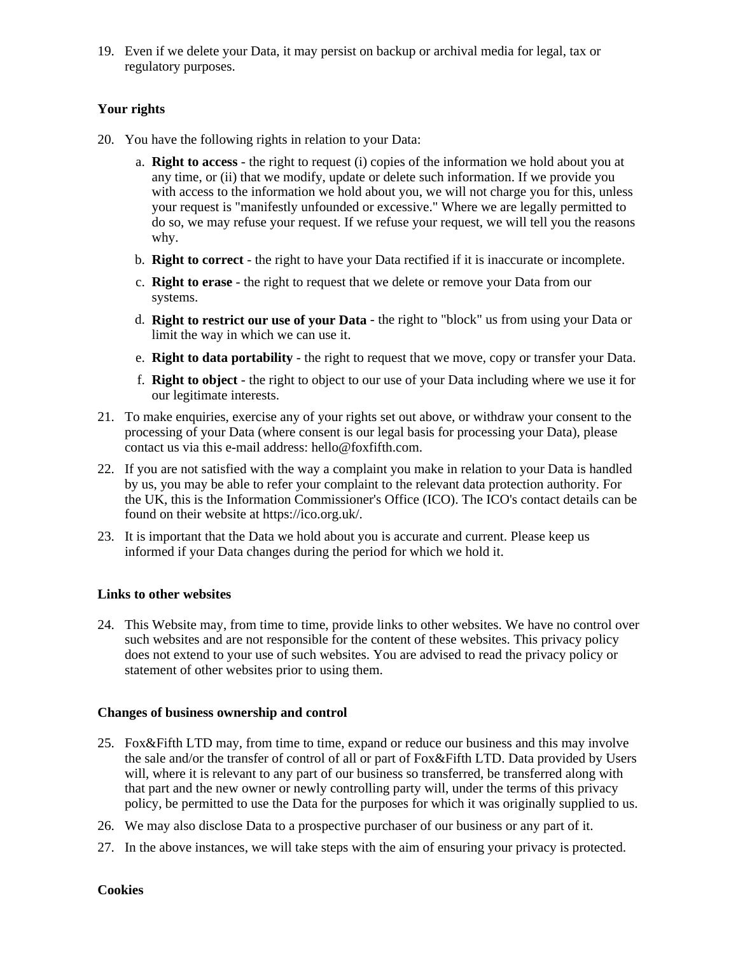19. Even if we delete your Data, it may persist on backup or archival media for legal, tax or regulatory purposes.

# **Your rights**

- 20. You have the following rights in relation to your Data:
	- a. **Right to access** the right to request (i) copies of the information we hold about you at any time, or (ii) that we modify, update or delete such information. If we provide you with access to the information we hold about you, we will not charge you for this, unless your request is "manifestly unfounded or excessive." Where we are legally permitted to do so, we may refuse your request. If we refuse your request, we will tell you the reasons why.
	- b. **Right to correct** the right to have your Data rectified if it is inaccurate or incomplete.
	- c. **Right to erase** the right to request that we delete or remove your Data from our systems.
	- d. **Right to restrict our use of your Data** the right to "block" us from using your Data or limit the way in which we can use it.
	- e. **Right to data portability** the right to request that we move, copy or transfer your Data.
	- f. **Right to object** the right to object to our use of your Data including where we use it for our legitimate interests.
- 21. To make enquiries, exercise any of your rights set out above, or withdraw your consent to the processing of your Data (where consent is our legal basis for processing your Data), please contact us via this e-mail address: hello@foxfifth.com.
- 22. If you are not satisfied with the way a complaint you make in relation to your Data is handled by us, you may be able to refer your complaint to the relevant data protection authority. For the UK, this is the Information Commissioner's Office (ICO). The ICO's contact details can be found on their website at https://ico.org.uk/.
- 23. It is important that the Data we hold about you is accurate and current. Please keep us informed if your Data changes during the period for which we hold it.

# **Links to other websites**

24. This Website may, from time to time, provide links to other websites. We have no control over such websites and are not responsible for the content of these websites. This privacy policy does not extend to your use of such websites. You are advised to read the privacy policy or statement of other websites prior to using them.

## **Changes of business ownership and control**

- 25. Fox&Fifth LTD may, from time to time, expand or reduce our business and this may involve the sale and/or the transfer of control of all or part of Fox&Fifth LTD. Data provided by Users will, where it is relevant to any part of our business so transferred, be transferred along with that part and the new owner or newly controlling party will, under the terms of this privacy policy, be permitted to use the Data for the purposes for which it was originally supplied to us.
- 26. We may also disclose Data to a prospective purchaser of our business or any part of it.
- 27. In the above instances, we will take steps with the aim of ensuring your privacy is protected.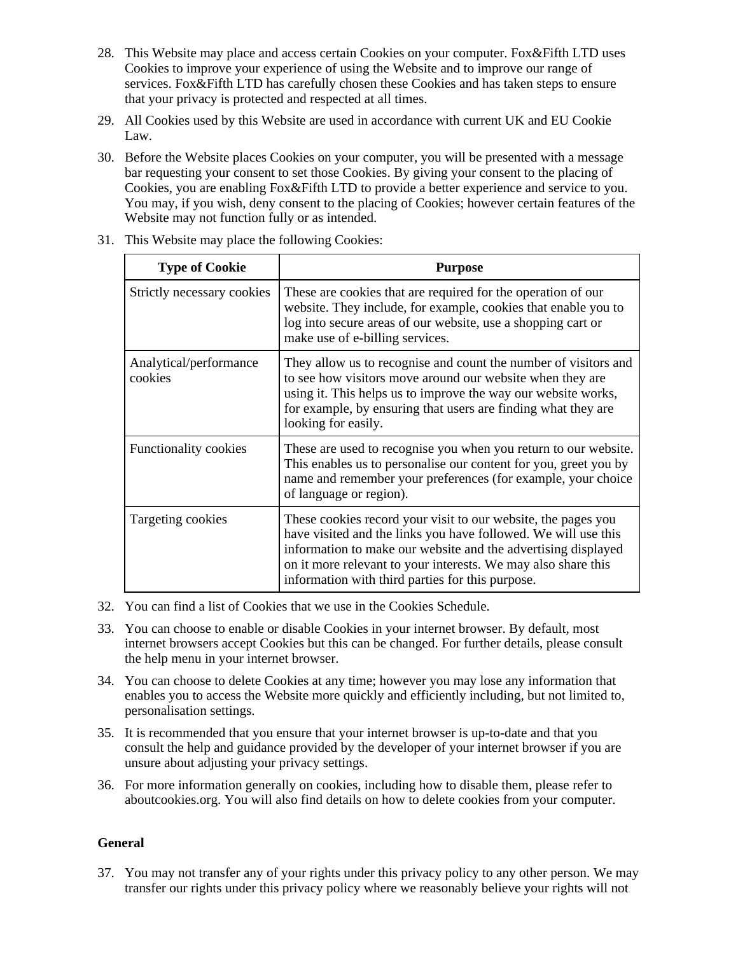- 28. This Website may place and access certain Cookies on your computer. Fox&Fifth LTD uses Cookies to improve your experience of using the Website and to improve our range of services. Fox&Fifth LTD has carefully chosen these Cookies and has taken steps to ensure that your privacy is protected and respected at all times.
- 29. All Cookies used by this Website are used in accordance with current UK and EU Cookie Law.
- 30. Before the Website places Cookies on your computer, you will be presented with a message bar requesting your consent to set those Cookies. By giving your consent to the placing of Cookies, you are enabling Fox&Fifth LTD to provide a better experience and service to you. You may, if you wish, deny consent to the placing of Cookies; however certain features of the Website may not function fully or as intended.

| <b>Type of Cookie</b>             | <b>Purpose</b>                                                                                                                                                                                                                                                                                                        |
|-----------------------------------|-----------------------------------------------------------------------------------------------------------------------------------------------------------------------------------------------------------------------------------------------------------------------------------------------------------------------|
| Strictly necessary cookies        | These are cookies that are required for the operation of our<br>website. They include, for example, cookies that enable you to<br>log into secure areas of our website, use a shopping cart or<br>make use of e-billing services.                                                                                     |
| Analytical/performance<br>cookies | They allow us to recognise and count the number of visitors and<br>to see how visitors move around our website when they are<br>using it. This helps us to improve the way our website works,<br>for example, by ensuring that users are finding what they are<br>looking for easily.                                 |
| Functionality cookies             | These are used to recognise you when you return to our website.<br>This enables us to personalise our content for you, greet you by<br>name and remember your preferences (for example, your choice<br>of language or region).                                                                                        |
| Targeting cookies                 | These cookies record your visit to our website, the pages you<br>have visited and the links you have followed. We will use this<br>information to make our website and the advertising displayed<br>on it more relevant to your interests. We may also share this<br>information with third parties for this purpose. |

31. This Website may place the following Cookies:

- 32. You can find a list of Cookies that we use in the Cookies Schedule.
- 33. You can choose to enable or disable Cookies in your internet browser. By default, most internet browsers accept Cookies but this can be changed. For further details, please consult the help menu in your internet browser.
- 34. You can choose to delete Cookies at any time; however you may lose any information that enables you to access the Website more quickly and efficiently including, but not limited to, personalisation settings.
- 35. It is recommended that you ensure that your internet browser is up-to-date and that you consult the help and guidance provided by the developer of your internet browser if you are unsure about adjusting your privacy settings.
- 36. For more information generally on cookies, including how to disable them, please refer to aboutcookies.org. You will also find details on how to delete cookies from your computer.

## **General**

37. You may not transfer any of your rights under this privacy policy to any other person. We may transfer our rights under this privacy policy where we reasonably believe your rights will not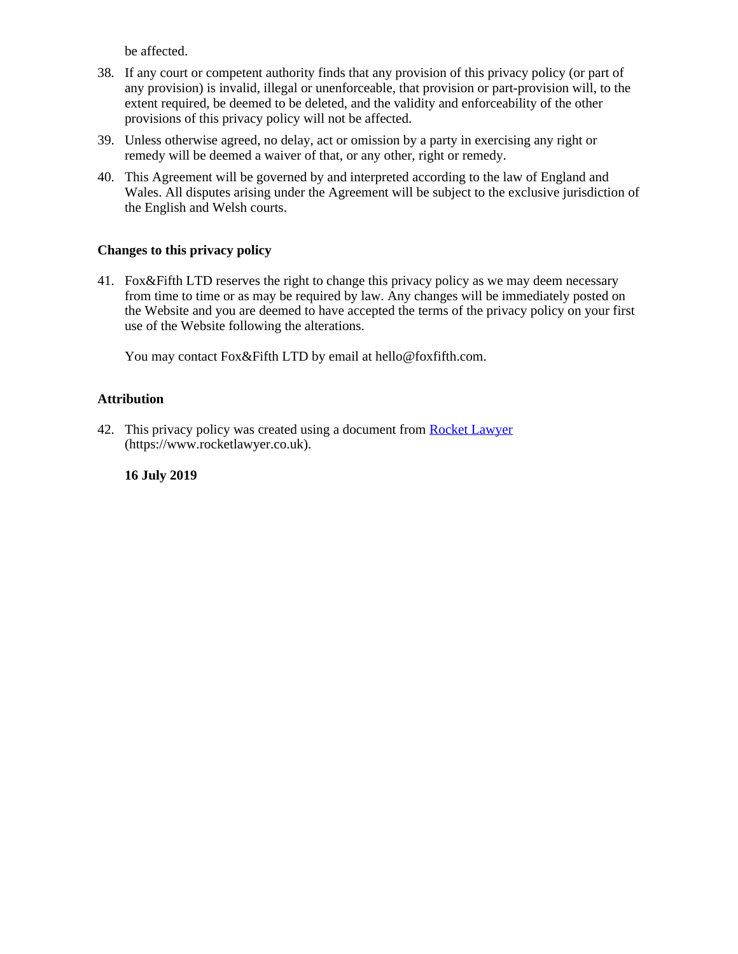be affected.

- 38. If any court or competent authority finds that any provision of this privacy policy (or part of any provision) is invalid, illegal or unenforceable, that provision or part-provision will, to the extent required, be deemed to be deleted, and the validity and enforceability of the other provisions of this privacy policy will not be affected.
- 39. Unless otherwise agreed, no delay, act or omission by a party in exercising any right or remedy will be deemed a waiver of that, or any other, right or remedy.
- 40. This Agreement will be governed by and interpreted according to the law of England and Wales. All disputes arising under the Agreement will be subject to the exclusive jurisdiction of the English and Welsh courts.

# **Changes to this privacy policy**

41. Fox&Fifth LTD reserves the right to change this privacy policy as we may deem necessary from time to time or as may be required by law. Any changes will be immediately posted on the Website and you are deemed to have accepted the terms of the privacy policy on your first use of the Website following the alterations.

You may contact Fox&Fifth LTD by email at hello@foxfifth.com.

# **Attribution**

42. This privacy policy was created using a document from [Rocket Lawyer](https://www.rocketlawyer.co.uk/) (https://www.rocketlawyer.co.uk).

# **16 July 2019**